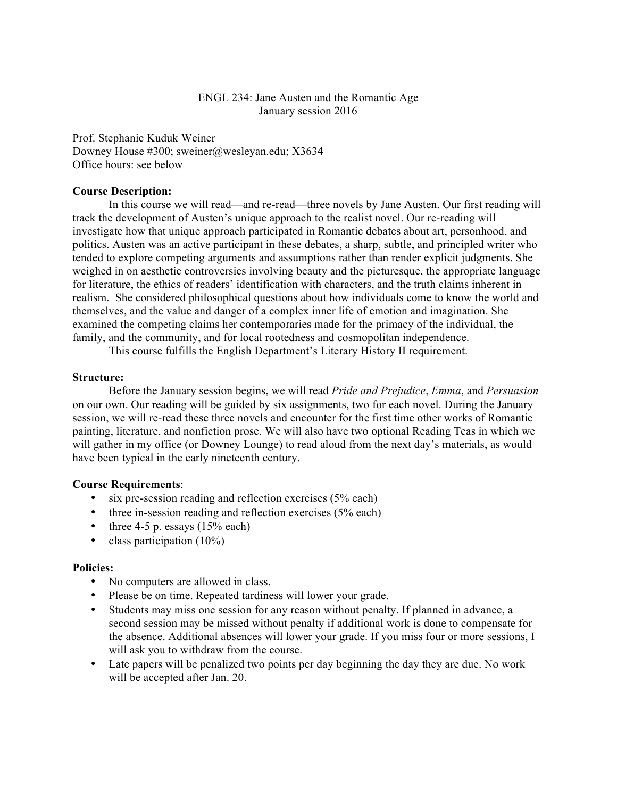## ENGL 234: Jane Austen and the Romantic Age January session 2016

Prof. Stephanie Kuduk Weiner Downey House #300; sweiner@wesleyan.edu; X3634 Office hours: see below

#### **Course Description:**

In this course we will read—and re-read—three novels by Jane Austen. Our first reading will track the development of Austen's unique approach to the realist novel. Our re-reading will investigate how that unique approach participated in Romantic debates about art, personhood, and politics. Austen was an active participant in these debates, a sharp, subtle, and principled writer who tended to explore competing arguments and assumptions rather than render explicit judgments. She weighed in on aesthetic controversies involving beauty and the picturesque, the appropriate language for literature, the ethics of readers' identification with characters, and the truth claims inherent in realism. She considered philosophical questions about how individuals come to know the world and themselves, and the value and danger of a complex inner life of emotion and imagination. She examined the competing claims her contemporaries made for the primacy of the individual, the family, and the community, and for local rootedness and cosmopolitan independence.

This course fulfills the English Department's Literary History II requirement.

#### **Structure:**

Before the January session begins, we will read *Pride and Prejudice*, *Emma*, and *Persuasion* on our own. Our reading will be guided by six assignments, two for each novel. During the January session, we will re-read these three novels and encounter for the first time other works of Romantic painting, literature, and nonfiction prose. We will also have two optional Reading Teas in which we will gather in my office (or Downey Lounge) to read aloud from the next day's materials, as would have been typical in the early nineteenth century.

#### **Course Requirements**:

- six pre-session reading and reflection exercises (5% each)
- three in-session reading and reflection exercises (5% each)
- three 4-5 p. essays  $(15%$  each)
- class participation (10%)

#### **Policies:**

- No computers are allowed in class.
- Please be on time. Repeated tardiness will lower your grade.
- Students may miss one session for any reason without penalty. If planned in advance, a second session may be missed without penalty if additional work is done to compensate for the absence. Additional absences will lower your grade. If you miss four or more sessions, I will ask you to withdraw from the course.
- Late papers will be penalized two points per day beginning the day they are due. No work will be accepted after Jan. 20.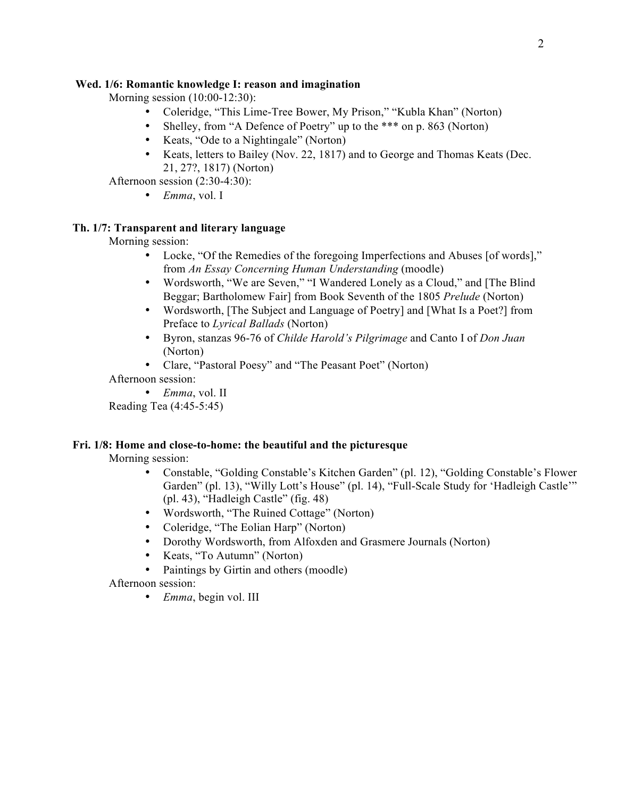# **Wed. 1/6: Romantic knowledge I: reason and imagination**

Morning session (10:00-12:30):

- Coleridge, "This Lime-Tree Bower, My Prison," "Kubla Khan" (Norton)
- Shelley, from "A Defence of Poetry" up to the \*\*\* on p. 863 (Norton)
- Keats, "Ode to a Nightingale" (Norton)
- Keats, letters to Bailey (Nov. 22, 1817) and to George and Thomas Keats (Dec. 21, 27?, 1817) (Norton)

Afternoon session (2:30-4:30):

• *Emma*, vol. I

# **Th. 1/7: Transparent and literary language**

Morning session:

- Locke, "Of the Remedies of the foregoing Imperfections and Abuses [of words]," from *An Essay Concerning Human Understanding* (moodle)
- Wordsworth, "We are Seven," "I Wandered Lonely as a Cloud," and [The Blind Beggar; Bartholomew Fair] from Book Seventh of the 1805 *Prelude* (Norton)
- Wordsworth, [The Subject and Language of Poetry] and [What Is a Poet?] from Preface to *Lyrical Ballads* (Norton)
- Byron, stanzas 96-76 of *Childe Harold's Pilgrimage* and Canto I of *Don Juan* (Norton)
- Clare, "Pastoral Poesy" and "The Peasant Poet" (Norton)

Afternoon session:

• *Emma*, vol. II

Reading Tea (4:45-5:45)

# **Fri. 1/8: Home and close-to-home: the beautiful and the picturesque**

Morning session:

- Constable, "Golding Constable's Kitchen Garden" (pl. 12), "Golding Constable's Flower Garden" (pl. 13), "Willy Lott's House" (pl. 14), "Full-Scale Study for 'Hadleigh Castle'" (pl. 43), "Hadleigh Castle" (fig. 48)
- Wordsworth, "The Ruined Cottage" (Norton)
- Coleridge, "The Eolian Harp" (Norton)
- Dorothy Wordsworth, from Alfoxden and Grasmere Journals (Norton)
- Keats, "To Autumn" (Norton)
- Paintings by Girtin and others (moodle)

Afternoon session:

• *Emma*, begin vol. III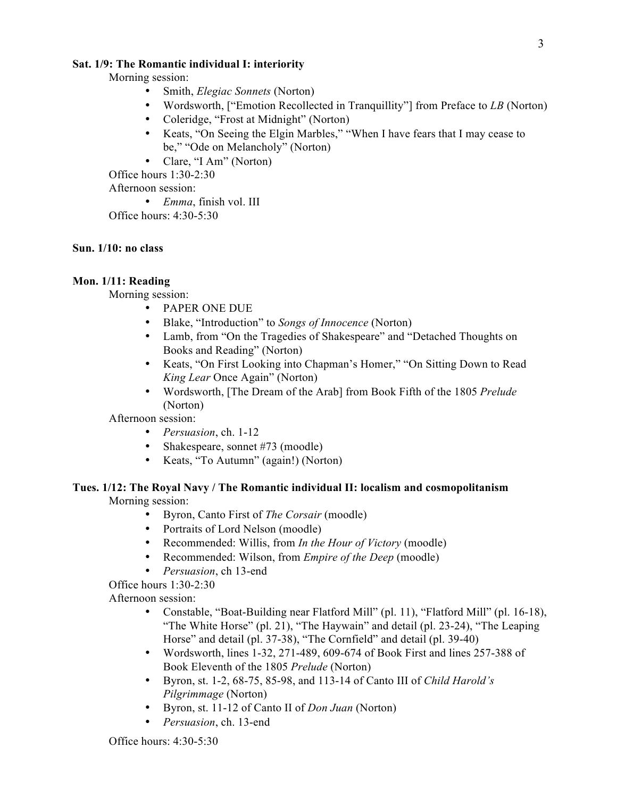#### **Sat. 1/9: The Romantic individual I: interiority**

Morning session:

- Smith, *Elegiac Sonnets* (Norton)
- Wordsworth, ["Emotion Recollected in Tranquillity"] from Preface to *LB* (Norton)
- Coleridge, "Frost at Midnight" (Norton)
- Keats, "On Seeing the Elgin Marbles," "When I have fears that I may cease to be," "Ode on Melancholy" (Norton)
- Clare, "I Am" (Norton)

Office hours 1:30-2:30

Afternoon session:

• *Emma*, finish vol. III

Office hours: 4:30-5:30

## **Sun. 1/10: no class**

## **Mon. 1/11: Reading**

Morning session:

- PAPER ONE DUE
- Blake, "Introduction" to *Songs of Innocence* (Norton)
- Lamb, from "On the Tragedies of Shakespeare" and "Detached Thoughts on Books and Reading" (Norton)
- Keats, "On First Looking into Chapman's Homer," "On Sitting Down to Read *King Lear* Once Again" (Norton)
- Wordsworth, [The Dream of the Arab] from Book Fifth of the 1805 *Prelude* (Norton)

Afternoon session:

- *Persuasion*, ch. 1-12
- Shakespeare, sonnet #73 (moodle)
- Keats, "To Autumn" (again!) (Norton)

## **Tues. 1/12: The Royal Navy / The Romantic individual II: localism and cosmopolitanism** Morning session:

- Byron, Canto First of *The Corsair* (moodle)
- Portraits of Lord Nelson (moodle)
- Recommended: Willis, from *In the Hour of Victory* (moodle)
- Recommended: Wilson, from *Empire of the Deep* (moodle)
- *Persuasion*, ch 13-end

Office hours 1:30-2:30

Afternoon session:

- Constable, "Boat-Building near Flatford Mill" (pl. 11), "Flatford Mill" (pl. 16-18), "The White Horse" (pl. 21), "The Haywain" and detail (pl. 23-24), "The Leaping Horse" and detail (pl. 37-38), "The Cornfield" and detail (pl. 39-40)
- Wordsworth, lines 1-32, 271-489, 609-674 of Book First and lines 257-388 of Book Eleventh of the 1805 *Prelude* (Norton)
- Byron, st. 1-2, 68-75, 85-98, and 113-14 of Canto III of *Child Harold's Pilgrimmage* (Norton)
- Byron, st. 11-12 of Canto II of *Don Juan* (Norton)
- *Persuasion*, ch. 13-end